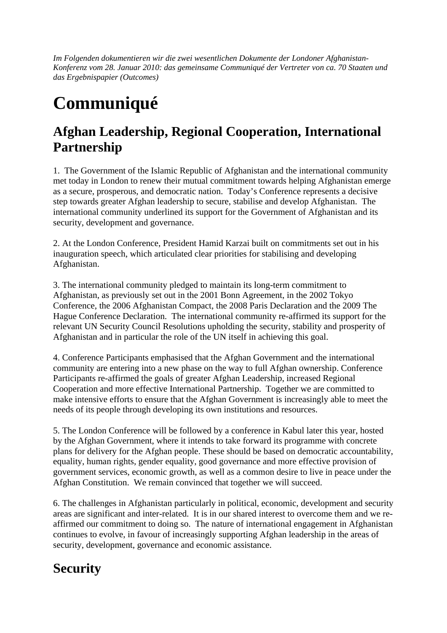*Im Folgenden dokumentieren wir die zwei wesentlichen Dokumente der Londoner Afghanistan-Konferenz vom 28. Januar 2010: das gemeinsame Communiqué der Vertreter von ca. 70 Staaten und das Ergebnispapier (Outcomes)* 

# **Communiqué**

#### **Afghan Leadership, Regional Cooperation, International Partnership**

1. The Government of the Islamic Republic of Afghanistan and the international community met today in London to renew their mutual commitment towards helping Afghanistan emerge as a secure, prosperous, and democratic nation. Today's Conference represents a decisive step towards greater Afghan leadership to secure, stabilise and develop Afghanistan. The international community underlined its support for the Government of Afghanistan and its security, development and governance.

2. At the London Conference, President Hamid Karzai built on commitments set out in his inauguration speech, which articulated clear priorities for stabilising and developing Afghanistan.

3. The international community pledged to maintain its long-term commitment to Afghanistan, as previously set out in the 2001 Bonn Agreement, in the 2002 Tokyo Conference, the 2006 Afghanistan Compact, the 2008 Paris Declaration and the 2009 The Hague Conference Declaration. The international community re-affirmed its support for the relevant UN Security Council Resolutions upholding the security, stability and prosperity of Afghanistan and in particular the role of the UN itself in achieving this goal.

4. Conference Participants emphasised that the Afghan Government and the international community are entering into a new phase on the way to full Afghan ownership. Conference Participants re-affirmed the goals of greater Afghan Leadership, increased Regional Cooperation and more effective International Partnership. Together we are committed to make intensive efforts to ensure that the Afghan Government is increasingly able to meet the needs of its people through developing its own institutions and resources.

5. The London Conference will be followed by a conference in Kabul later this year, hosted by the Afghan Government, where it intends to take forward its programme with concrete plans for delivery for the Afghan people. These should be based on democratic accountability, equality, human rights, gender equality, good governance and more effective provision of government services, economic growth, as well as a common desire to live in peace under the Afghan Constitution. We remain convinced that together we will succeed.

6. The challenges in Afghanistan particularly in political, economic, development and security areas are significant and inter-related. It is in our shared interest to overcome them and we reaffirmed our commitment to doing so. The nature of international engagement in Afghanistan continues to evolve, in favour of increasingly supporting Afghan leadership in the areas of security, development, governance and economic assistance.

### **Security**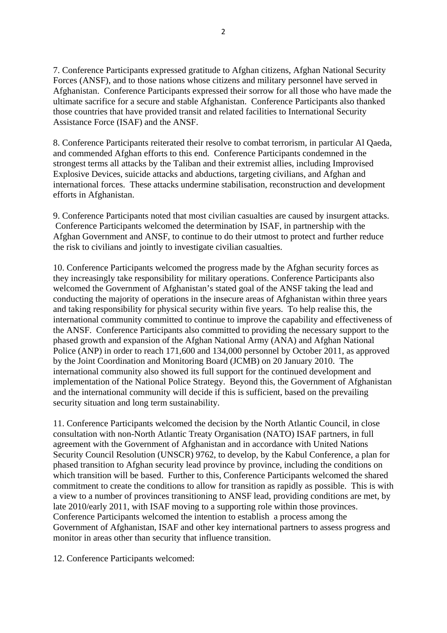7. Conference Participants expressed gratitude to Afghan citizens, Afghan National Security Forces (ANSF), and to those nations whose citizens and military personnel have served in Afghanistan. Conference Participants expressed their sorrow for all those who have made the ultimate sacrifice for a secure and stable Afghanistan. Conference Participants also thanked those countries that have provided transit and related facilities to International Security Assistance Force (ISAF) and the ANSF.

8. Conference Participants reiterated their resolve to combat terrorism, in particular Al Qaeda, and commended Afghan efforts to this end. Conference Participants condemned in the strongest terms all attacks by the Taliban and their extremist allies, including Improvised Explosive Devices, suicide attacks and abductions, targeting civilians, and Afghan and international forces. These attacks undermine stabilisation, reconstruction and development efforts in Afghanistan.

9. Conference Participants noted that most civilian casualties are caused by insurgent attacks. Conference Participants welcomed the determination by ISAF, in partnership with the Afghan Government and ANSF, to continue to do their utmost to protect and further reduce the risk to civilians and jointly to investigate civilian casualties.

10. Conference Participants welcomed the progress made by the Afghan security forces as they increasingly take responsibility for military operations. Conference Participants also welcomed the Government of Afghanistan's stated goal of the ANSF taking the lead and conducting the majority of operations in the insecure areas of Afghanistan within three years and taking responsibility for physical security within five years. To help realise this, the international community committed to continue to improve the capability and effectiveness of the ANSF. Conference Participants also committed to providing the necessary support to the phased growth and expansion of the Afghan National Army (ANA) and Afghan National Police (ANP) in order to reach 171,600 and 134,000 personnel by October 2011, as approved by the Joint Coordination and Monitoring Board (JCMB) on 20 January 2010. The international community also showed its full support for the continued development and implementation of the National Police Strategy. Beyond this, the Government of Afghanistan and the international community will decide if this is sufficient, based on the prevailing security situation and long term sustainability.

11. Conference Participants welcomed the decision by the North Atlantic Council, in close consultation with non-North Atlantic Treaty Organisation (NATO) ISAF partners, in full agreement with the Government of Afghanistan and in accordance with United Nations Security Council Resolution (UNSCR) 9762, to develop, by the Kabul Conference, a plan for phased transition to Afghan security lead province by province, including the conditions on which transition will be based. Further to this, Conference Participants welcomed the shared commitment to create the conditions to allow for transition as rapidly as possible. This is with a view to a number of provinces transitioning to ANSF lead, providing conditions are met, by late 2010/early 2011, with ISAF moving to a supporting role within those provinces. Conference Participants welcomed the intention to establish a process among the Government of Afghanistan, ISAF and other key international partners to assess progress and monitor in areas other than security that influence transition.

12. Conference Participants welcomed: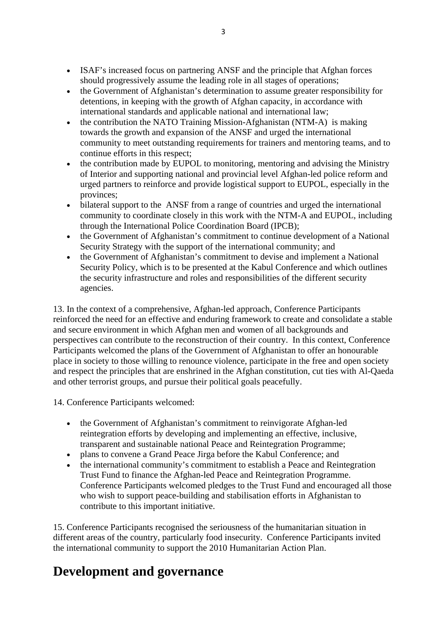- ISAF's increased focus on partnering ANSF and the principle that Afghan forces should progressively assume the leading role in all stages of operations;
- the Government of Afghanistan's determination to assume greater responsibility for detentions, in keeping with the growth of Afghan capacity, in accordance with international standards and applicable national and international law;
- the contribution the NATO Training Mission-Afghanistan (NTM-A) is making towards the growth and expansion of the ANSF and urged the international community to meet outstanding requirements for trainers and mentoring teams, and to continue efforts in this respect;
- the contribution made by EUPOL to monitoring, mentoring and advising the Ministry of Interior and supporting national and provincial level Afghan-led police reform and urged partners to reinforce and provide logistical support to EUPOL, especially in the provinces;
- bilateral support to the ANSF from a range of countries and urged the international community to coordinate closely in this work with the NTM-A and EUPOL, including through the International Police Coordination Board (IPCB);
- the Government of Afghanistan's commitment to continue development of a National Security Strategy with the support of the international community; and
- the Government of Afghanistan's commitment to devise and implement a National Security Policy, which is to be presented at the Kabul Conference and which outlines the security infrastructure and roles and responsibilities of the different security agencies.

13. In the context of a comprehensive, Afghan-led approach, Conference Participants reinforced the need for an effective and enduring framework to create and consolidate a stable and secure environment in which Afghan men and women of all backgrounds and perspectives can contribute to the reconstruction of their country. In this context, Conference Participants welcomed the plans of the Government of Afghanistan to offer an honourable place in society to those willing to renounce violence, participate in the free and open society and respect the principles that are enshrined in the Afghan constitution, cut ties with Al-Qaeda and other terrorist groups, and pursue their political goals peacefully.

14. Conference Participants welcomed:

- the Government of Afghanistan's commitment to reinvigorate Afghan-led reintegration efforts by developing and implementing an effective, inclusive, transparent and sustainable national Peace and Reintegration Programme;
- plans to convene a Grand Peace Jirga before the Kabul Conference; and
- the international community's commitment to establish a Peace and Reintegration Trust Fund to finance the Afghan-led Peace and Reintegration Programme. Conference Participants welcomed pledges to the Trust Fund and encouraged all those who wish to support peace-building and stabilisation efforts in Afghanistan to contribute to this important initiative.

15. Conference Participants recognised the seriousness of the humanitarian situation in different areas of the country, particularly food insecurity. Conference Participants invited the international community to support the 2010 Humanitarian Action Plan.

#### **Development and governance**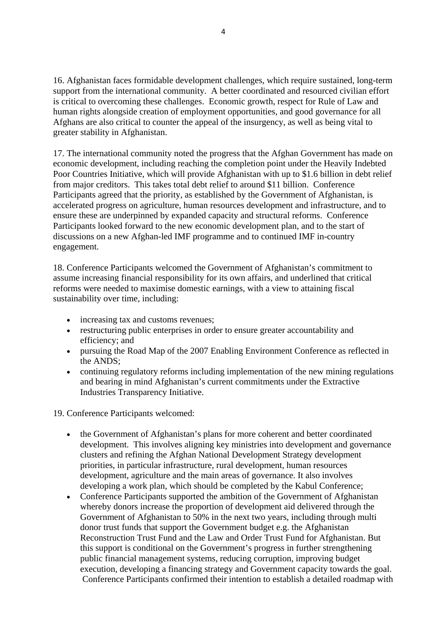16. Afghanistan faces formidable development challenges, which require sustained, long-term support from the international community. A better coordinated and resourced civilian effort is critical to overcoming these challenges. Economic growth, respect for Rule of Law and human rights alongside creation of employment opportunities, and good governance for all Afghans are also critical to counter the appeal of the insurgency, as well as being vital to greater stability in Afghanistan.

17. The international community noted the progress that the Afghan Government has made on economic development, including reaching the completion point under the Heavily Indebted Poor Countries Initiative, which will provide Afghanistan with up to \$1.6 billion in debt relief from major creditors. This takes total debt relief to around \$11 billion. Conference Participants agreed that the priority, as established by the Government of Afghanistan, is accelerated progress on agriculture, human resources development and infrastructure, and to ensure these are underpinned by expanded capacity and structural reforms. Conference Participants looked forward to the new economic development plan, and to the start of discussions on a new Afghan-led IMF programme and to continued IMF in-country engagement.

18. Conference Participants welcomed the Government of Afghanistan's commitment to assume increasing financial responsibility for its own affairs, and underlined that critical reforms were needed to maximise domestic earnings, with a view to attaining fiscal sustainability over time, including:

- increasing tax and customs revenues:
- restructuring public enterprises in order to ensure greater accountability and efficiency; and
- pursuing the Road Map of the 2007 Enabling Environment Conference as reflected in the ANDS;
- continuing regulatory reforms including implementation of the new mining regulations and bearing in mind Afghanistan's current commitments under the Extractive Industries Transparency Initiative.

19. Conference Participants welcomed:

- the Government of Afghanistan's plans for more coherent and better coordinated development. This involves aligning key ministries into development and governance clusters and refining the Afghan National Development Strategy development priorities, in particular infrastructure, rural development, human resources development, agriculture and the main areas of governance. It also involves developing a work plan, which should be completed by the Kabul Conference;
- Conference Participants supported the ambition of the Government of Afghanistan whereby donors increase the proportion of development aid delivered through the Government of Afghanistan to 50% in the next two years, including through multi donor trust funds that support the Government budget e.g. the Afghanistan Reconstruction Trust Fund and the Law and Order Trust Fund for Afghanistan. But this support is conditional on the Government's progress in further strengthening public financial management systems, reducing corruption, improving budget execution, developing a financing strategy and Government capacity towards the goal. Conference Participants confirmed their intention to establish a detailed roadmap with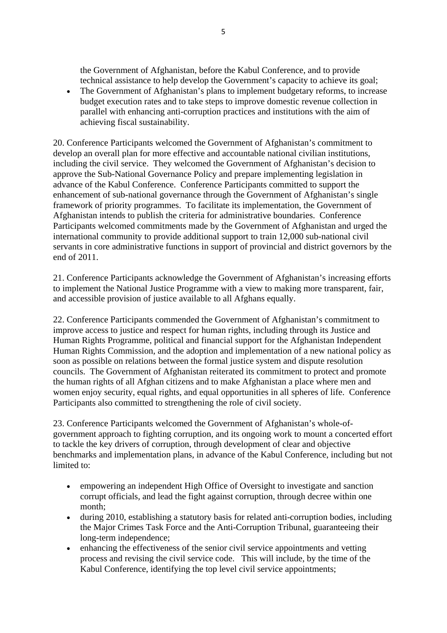the Government of Afghanistan, before the Kabul Conference, and to provide technical assistance to help develop the Government's capacity to achieve its goal;

• The Government of Afghanistan's plans to implement budgetary reforms, to increase budget execution rates and to take steps to improve domestic revenue collection in parallel with enhancing anti-corruption practices and institutions with the aim of achieving fiscal sustainability.

20. Conference Participants welcomed the Government of Afghanistan's commitment to develop an overall plan for more effective and accountable national civilian institutions, including the civil service. They welcomed the Government of Afghanistan's decision to approve the Sub-National Governance Policy and prepare implementing legislation in advance of the Kabul Conference. Conference Participants committed to support the enhancement of sub-national governance through the Government of Afghanistan's single framework of priority programmes. To facilitate its implementation, the Government of Afghanistan intends to publish the criteria for administrative boundaries. Conference Participants welcomed commitments made by the Government of Afghanistan and urged the international community to provide additional support to train 12,000 sub-national civil servants in core administrative functions in support of provincial and district governors by the end of 2011.

21. Conference Participants acknowledge the Government of Afghanistan's increasing efforts to implement the National Justice Programme with a view to making more transparent, fair, and accessible provision of justice available to all Afghans equally.

22. Conference Participants commended the Government of Afghanistan's commitment to improve access to justice and respect for human rights, including through its Justice and Human Rights Programme, political and financial support for the Afghanistan Independent Human Rights Commission, and the adoption and implementation of a new national policy as soon as possible on relations between the formal justice system and dispute resolution councils. The Government of Afghanistan reiterated its commitment to protect and promote the human rights of all Afghan citizens and to make Afghanistan a place where men and women enjoy security, equal rights, and equal opportunities in all spheres of life. Conference Participants also committed to strengthening the role of civil society.

23. Conference Participants welcomed the Government of Afghanistan's whole-ofgovernment approach to fighting corruption, and its ongoing work to mount a concerted effort to tackle the key drivers of corruption, through development of clear and objective benchmarks and implementation plans, in advance of the Kabul Conference, including but not limited to:

- empowering an independent High Office of Oversight to investigate and sanction corrupt officials, and lead the fight against corruption, through decree within one month;
- during 2010, establishing a statutory basis for related anti-corruption bodies, including the Major Crimes Task Force and the Anti-Corruption Tribunal, guaranteeing their long-term independence;
- enhancing the effectiveness of the senior civil service appointments and vetting process and revising the civil service code. This will include, by the time of the Kabul Conference, identifying the top level civil service appointments;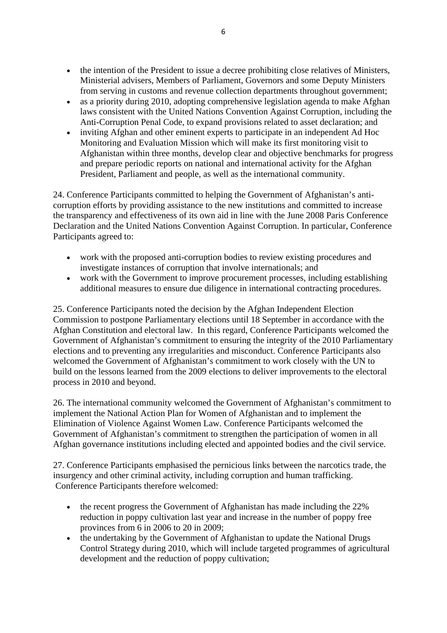- the intention of the President to issue a decree prohibiting close relatives of Ministers, Ministerial advisers, Members of Parliament, Governors and some Deputy Ministers from serving in customs and revenue collection departments throughout government;
- as a priority during 2010, adopting comprehensive legislation agenda to make Afghan laws consistent with the United Nations Convention Against Corruption, including the Anti-Corruption Penal Code, to expand provisions related to asset declaration; and
- inviting Afghan and other eminent experts to participate in an independent Ad Hoc Monitoring and Evaluation Mission which will make its first monitoring visit to Afghanistan within three months, develop clear and objective benchmarks for progress and prepare periodic reports on national and international activity for the Afghan President, Parliament and people, as well as the international community.

24. Conference Participants committed to helping the Government of Afghanistan's anticorruption efforts by providing assistance to the new institutions and committed to increase the transparency and effectiveness of its own aid in line with the June 2008 Paris Conference Declaration and the United Nations Convention Against Corruption. In particular, Conference Participants agreed to:

- work with the proposed anti-corruption bodies to review existing procedures and investigate instances of corruption that involve internationals; and
- work with the Government to improve procurement processes, including establishing additional measures to ensure due diligence in international contracting procedures.

25. Conference Participants noted the decision by the Afghan Independent Election Commission to postpone Parliamentary elections until 18 September in accordance with the Afghan Constitution and electoral law. In this regard, Conference Participants welcomed the Government of Afghanistan's commitment to ensuring the integrity of the 2010 Parliamentary elections and to preventing any irregularities and misconduct. Conference Participants also welcomed the Government of Afghanistan's commitment to work closely with the UN to build on the lessons learned from the 2009 elections to deliver improvements to the electoral process in 2010 and beyond.

26. The international community welcomed the Government of Afghanistan's commitment to implement the National Action Plan for Women of Afghanistan and to implement the Elimination of Violence Against Women Law. Conference Participants welcomed the Government of Afghanistan's commitment to strengthen the participation of women in all Afghan governance institutions including elected and appointed bodies and the civil service.

27. Conference Participants emphasised the pernicious links between the narcotics trade, the insurgency and other criminal activity, including corruption and human trafficking. Conference Participants therefore welcomed:

- the recent progress the Government of Afghanistan has made including the 22% reduction in poppy cultivation last year and increase in the number of poppy free provinces from 6 in 2006 to 20 in 2009;
- the undertaking by the Government of Afghanistan to update the National Drugs Control Strategy during 2010, which will include targeted programmes of agricultural development and the reduction of poppy cultivation;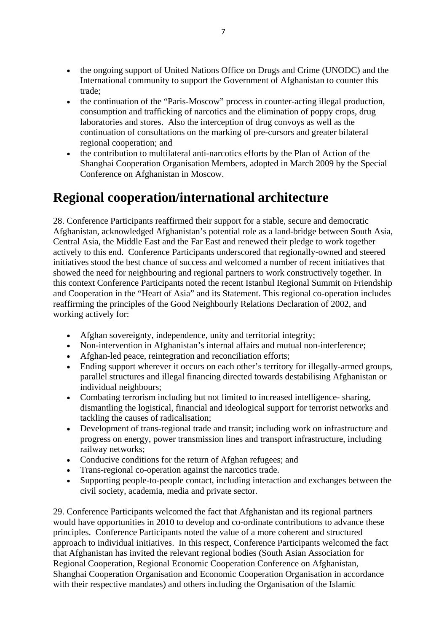- the ongoing support of United Nations Office on Drugs and Crime (UNODC) and the International community to support the Government of Afghanistan to counter this trade;
- the continuation of the "Paris-Moscow" process in counter-acting illegal production, consumption and trafficking of narcotics and the elimination of poppy crops, drug laboratories and stores. Also the interception of drug convoys as well as the continuation of consultations on the marking of pre-cursors and greater bilateral regional cooperation; and
- the contribution to multilateral anti-narcotics efforts by the Plan of Action of the Shanghai Cooperation Organisation Members, adopted in March 2009 by the Special Conference on Afghanistan in Moscow.

#### **Regional cooperation/international architecture**

28. Conference Participants reaffirmed their support for a stable, secure and democratic Afghanistan, acknowledged Afghanistan's potential role as a land-bridge between South Asia, Central Asia, the Middle East and the Far East and renewed their pledge to work together actively to this end. Conference Participants underscored that regionally-owned and steered initiatives stood the best chance of success and welcomed a number of recent initiatives that showed the need for neighbouring and regional partners to work constructively together. In this context Conference Participants noted the recent Istanbul Regional Summit on Friendship and Cooperation in the "Heart of Asia" and its Statement. This regional co-operation includes reaffirming the principles of the Good Neighbourly Relations Declaration of 2002, and working actively for:

- Afghan sovereignty, independence, unity and territorial integrity;
- Non-intervention in Afghanistan's internal affairs and mutual non-interference;
- Afghan-led peace, reintegration and reconciliation efforts;
- Ending support wherever it occurs on each other's territory for illegally-armed groups, parallel structures and illegal financing directed towards destabilising Afghanistan or individual neighbours;
- Combating terrorism including but not limited to increased intelligence- sharing, dismantling the logistical, financial and ideological support for terrorist networks and tackling the causes of radicalisation;
- Development of trans-regional trade and transit; including work on infrastructure and progress on energy, power transmission lines and transport infrastructure, including railway networks;
- Conducive conditions for the return of Afghan refugees; and
- Trans-regional co-operation against the narcotics trade.
- Supporting people-to-people contact, including interaction and exchanges between the civil society, academia, media and private sector.

29. Conference Participants welcomed the fact that Afghanistan and its regional partners would have opportunities in 2010 to develop and co-ordinate contributions to advance these principles. Conference Participants noted the value of a more coherent and structured approach to individual initiatives. In this respect, Conference Participants welcomed the fact that Afghanistan has invited the relevant regional bodies (South Asian Association for Regional Cooperation, Regional Economic Cooperation Conference on Afghanistan, Shanghai Cooperation Organisation and Economic Cooperation Organisation in accordance with their respective mandates) and others including the Organisation of the Islamic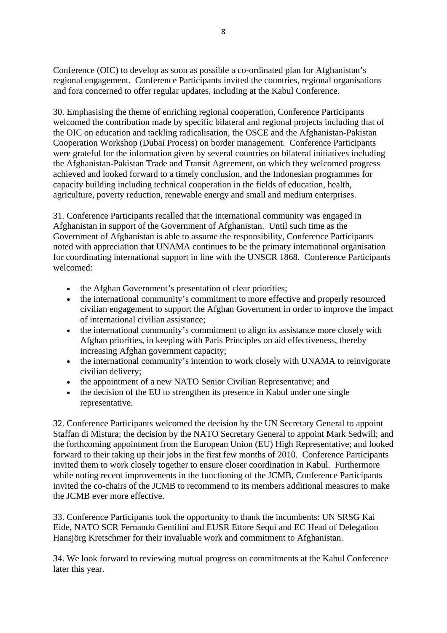Conference (OIC) to develop as soon as possible a co-ordinated plan for Afghanistan's regional engagement. Conference Participants invited the countries, regional organisations and fora concerned to offer regular updates, including at the Kabul Conference.

30. Emphasising the theme of enriching regional cooperation, Conference Participants welcomed the contribution made by specific bilateral and regional projects including that of the OIC on education and tackling radicalisation, the OSCE and the Afghanistan-Pakistan Cooperation Workshop (Dubai Process) on border management. Conference Participants were grateful for the information given by several countries on bilateral initiatives including the Afghanistan-Pakistan Trade and Transit Agreement, on which they welcomed progress achieved and looked forward to a timely conclusion, and the Indonesian programmes for capacity building including technical cooperation in the fields of education, health, agriculture, poverty reduction, renewable energy and small and medium enterprises.

31. Conference Participants recalled that the international community was engaged in Afghanistan in support of the Government of Afghanistan. Until such time as the Government of Afghanistan is able to assume the responsibility, Conference Participants noted with appreciation that UNAMA continues to be the primary international organisation for coordinating international support in line with the UNSCR 1868. Conference Participants welcomed:

- the Afghan Government's presentation of clear priorities;
- the international community's commitment to more effective and properly resourced civilian engagement to support the Afghan Government in order to improve the impact of international civilian assistance;
- the international community's commitment to align its assistance more closely with Afghan priorities, in keeping with Paris Principles on aid effectiveness, thereby increasing Afghan government capacity;
- the international community's intention to work closely with UNAMA to reinvigorate civilian delivery;
- the appointment of a new NATO Senior Civilian Representative; and
- the decision of the EU to strengthen its presence in Kabul under one single representative.

32. Conference Participants welcomed the decision by the UN Secretary General to appoint Staffan di Mistura; the decision by the NATO Secretary General to appoint Mark Sedwill; and the forthcoming appointment from the European Union (EU) High Representative; and looked forward to their taking up their jobs in the first few months of 2010. Conference Participants invited them to work closely together to ensure closer coordination in Kabul. Furthermore while noting recent improvements in the functioning of the JCMB, Conference Participants invited the co-chairs of the JCMB to recommend to its members additional measures to make the JCMB ever more effective.

33. Conference Participants took the opportunity to thank the incumbents: UN SRSG Kai Eide, NATO SCR Fernando Gentilini and EUSR Ettore Sequi and EC Head of Delegation Hansjörg Kretschmer for their invaluable work and commitment to Afghanistan.

34. We look forward to reviewing mutual progress on commitments at the Kabul Conference later this year.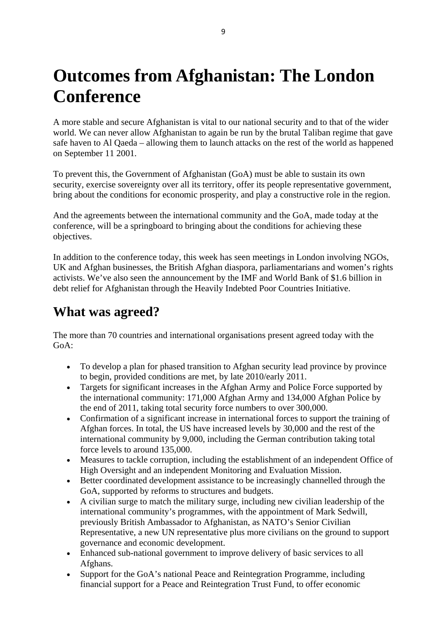## **Outcomes from Afghanistan: The London Conference**

A more stable and secure Afghanistan is vital to our national security and to that of the wider world. We can never allow Afghanistan to again be run by the brutal Taliban regime that gave safe haven to Al Qaeda – allowing them to launch attacks on the rest of the world as happened on September 11 2001.

To prevent this, the Government of Afghanistan (GoA) must be able to sustain its own security, exercise sovereignty over all its territory, offer its people representative government, bring about the conditions for economic prosperity, and play a constructive role in the region.

And the agreements between the international community and the GoA, made today at the conference, will be a springboard to bringing about the conditions for achieving these objectives.

In addition to the conference today, this week has seen meetings in London involving NGOs, UK and Afghan businesses, the British Afghan diaspora, parliamentarians and women's rights activists. We've also seen the announcement by the IMF and World Bank of \$1.6 billion in debt relief for Afghanistan through the Heavily Indebted Poor Countries Initiative.

#### **What was agreed?**

The more than 70 countries and international organisations present agreed today with the GoA:

- To develop a plan for phased transition to Afghan security lead province by province to begin, provided conditions are met, by late 2010/early 2011.
- Targets for significant increases in the Afghan Army and Police Force supported by the international community: 171,000 Afghan Army and 134,000 Afghan Police by the end of 2011, taking total security force numbers to over 300,000.
- Confirmation of a significant increase in international forces to support the training of Afghan forces. In total, the US have increased levels by 30,000 and the rest of the international community by 9,000, including the German contribution taking total force levels to around 135,000.
- Measures to tackle corruption, including the establishment of an independent Office of High Oversight and an independent Monitoring and Evaluation Mission.
- Better coordinated development assistance to be increasingly channelled through the GoA, supported by reforms to structures and budgets.
- A civilian surge to match the military surge, including new civilian leadership of the international community's programmes, with the appointment of Mark Sedwill, previously British Ambassador to Afghanistan, as NATO's Senior Civilian Representative, a new UN representative plus more civilians on the ground to support governance and economic development.
- Enhanced sub-national government to improve delivery of basic services to all Afghans.
- Support for the GoA's national Peace and Reintegration Programme, including financial support for a Peace and Reintegration Trust Fund, to offer economic